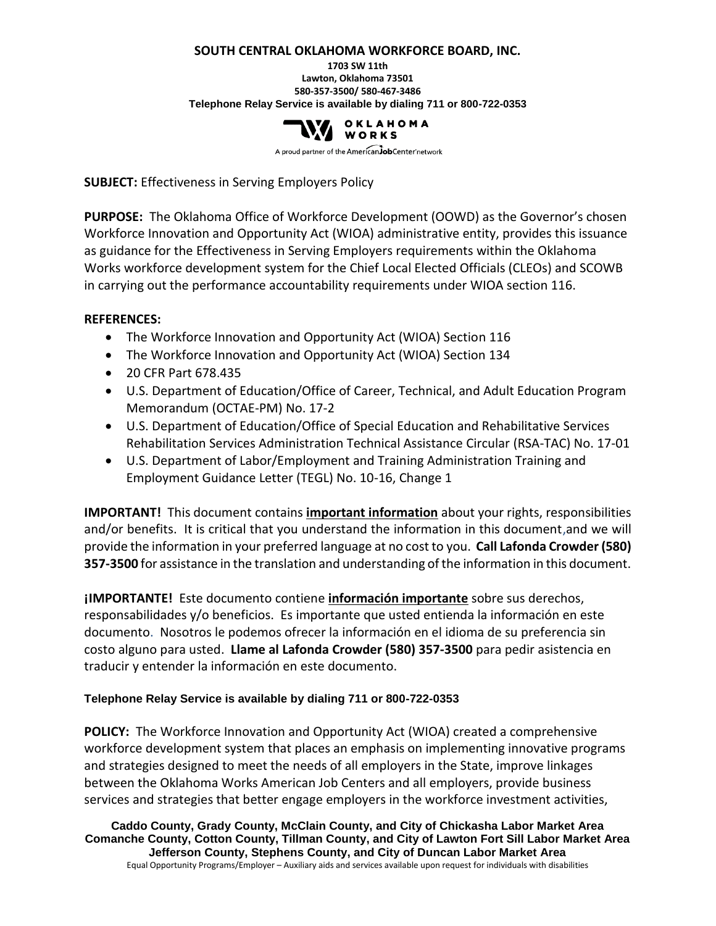#### **SOUTH CENTRAL OKLAHOMA WORKFORCE BOARD, INC.**

**1703 SW 11th Lawton, Oklahoma 73501 580-357-3500/ 580-467-3486 Telephone Relay Service is available by dialing 711 or 800-722-0353**



A proud partner of the AmericanJobCenter network

**SUBJECT:** Effectiveness in Serving Employers Policy

**PURPOSE:** The Oklahoma Office of Workforce Development (OOWD) as the Governor's chosen Workforce Innovation and Opportunity Act (WIOA) administrative entity, provides this issuance as guidance for the Effectiveness in Serving Employers requirements within the Oklahoma Works workforce development system for the Chief Local Elected Officials (CLEOs) and SCOWB in carrying out the performance accountability requirements under WIOA section 116.

#### **REFERENCES:**

- The Workforce Innovation and Opportunity Act (WIOA) Section 116
- The Workforce Innovation and Opportunity Act (WIOA) Section 134
- 20 CFR Part 678.435
- U.S. Department of Education/Office of Career, Technical, and Adult Education Program Memorandum (OCTAE-PM) No. 17-2
- U.S. Department of Education/Office of Special Education and Rehabilitative Services Rehabilitation Services Administration Technical Assistance Circular (RSA-TAC) No. 17-01
- U.S. Department of Labor/Employment and Training Administration Training and Employment Guidance Letter (TEGL) No. 10-16, Change 1

**IMPORTANT!** This document contains **important information** about your rights, responsibilities and/or benefits. It is critical that you understand the information in this document,and we will provide the information in your preferred language at no cost to you. **Call Lafonda Crowder (580) 357-3500** for assistance in the translation and understanding of the information in this document.

**¡IMPORTANTE!** Este documento contiene **información importante** sobre sus derechos, responsabilidades y/o beneficios. Es importante que usted entienda la información en este documento. Nosotros le podemos ofrecer la información en el idioma de su preferencia sin costo alguno para usted. **Llame al Lafonda Crowder (580) 357-3500** para pedir asistencia en traducir y entender la información en este documento.

#### **Telephone Relay Service is available by dialing 711 or 800-722-0353**

**POLICY:** The Workforce Innovation and Opportunity Act (WIOA) created a comprehensive workforce development system that places an emphasis on implementing innovative programs and strategies designed to meet the needs of all employers in the State, improve linkages between the Oklahoma Works American Job Centers and all employers, provide business services and strategies that better engage employers in the workforce investment activities,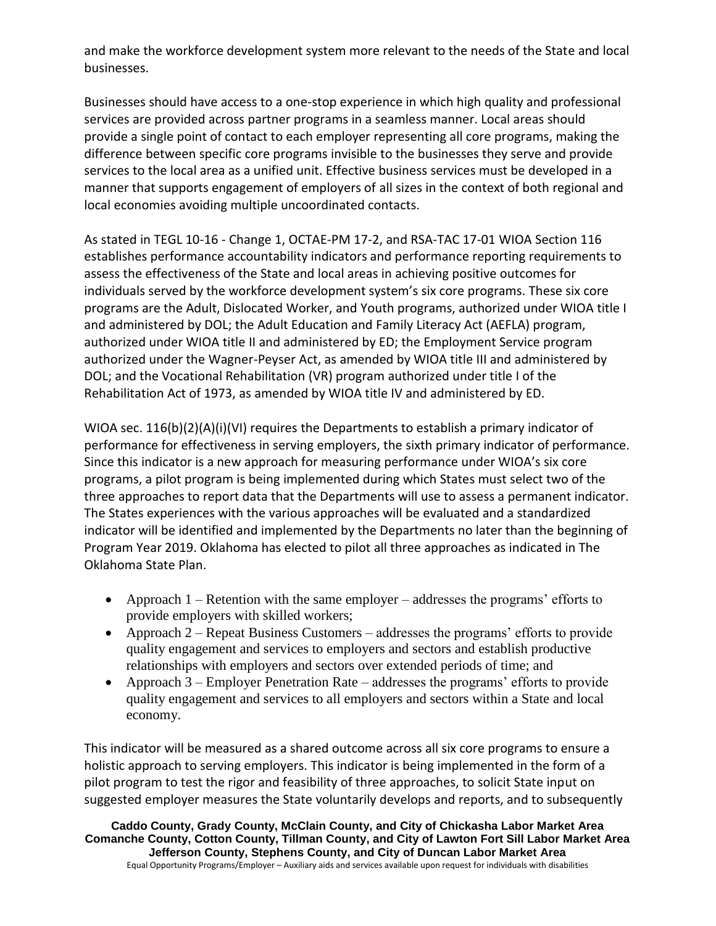and make the workforce development system more relevant to the needs of the State and local businesses.

Businesses should have access to a one-stop experience in which high quality and professional services are provided across partner programs in a seamless manner. Local areas should provide a single point of contact to each employer representing all core programs, making the difference between specific core programs invisible to the businesses they serve and provide services to the local area as a unified unit. Effective business services must be developed in a manner that supports engagement of employers of all sizes in the context of both regional and local economies avoiding multiple uncoordinated contacts.

As stated in TEGL 10-16 - Change 1, OCTAE-PM 17-2, and RSA-TAC 17-01 WIOA Section 116 establishes performance accountability indicators and performance reporting requirements to assess the effectiveness of the State and local areas in achieving positive outcomes for individuals served by the workforce development system's six core programs. These six core programs are the Adult, Dislocated Worker, and Youth programs, authorized under WIOA title I and administered by DOL; the Adult Education and Family Literacy Act (AEFLA) program, authorized under WIOA title II and administered by ED; the Employment Service program authorized under the Wagner-Peyser Act, as amended by WIOA title III and administered by DOL; and the Vocational Rehabilitation (VR) program authorized under title I of the Rehabilitation Act of 1973, as amended by WIOA title IV and administered by ED.

WIOA sec.  $116(b)(2)(A)(i)(V)$  requires the Departments to establish a primary indicator of performance for effectiveness in serving employers, the sixth primary indicator of performance. Since this indicator is a new approach for measuring performance under WIOA's six core programs, a pilot program is being implemented during which States must select two of the three approaches to report data that the Departments will use to assess a permanent indicator. The States experiences with the various approaches will be evaluated and a standardized indicator will be identified and implemented by the Departments no later than the beginning of Program Year 2019. Oklahoma has elected to pilot all three approaches as indicated in The Oklahoma State Plan.

- Approach 1 Retention with the same employer addresses the programs' efforts to provide employers with skilled workers;
- Approach 2 Repeat Business Customers addresses the programs' efforts to provide quality engagement and services to employers and sectors and establish productive relationships with employers and sectors over extended periods of time; and
- Approach 3 Employer Penetration Rate addresses the programs' efforts to provide quality engagement and services to all employers and sectors within a State and local economy.

This indicator will be measured as a shared outcome across all six core programs to ensure a holistic approach to serving employers. This indicator is being implemented in the form of a pilot program to test the rigor and feasibility of three approaches, to solicit State input on suggested employer measures the State voluntarily develops and reports, and to subsequently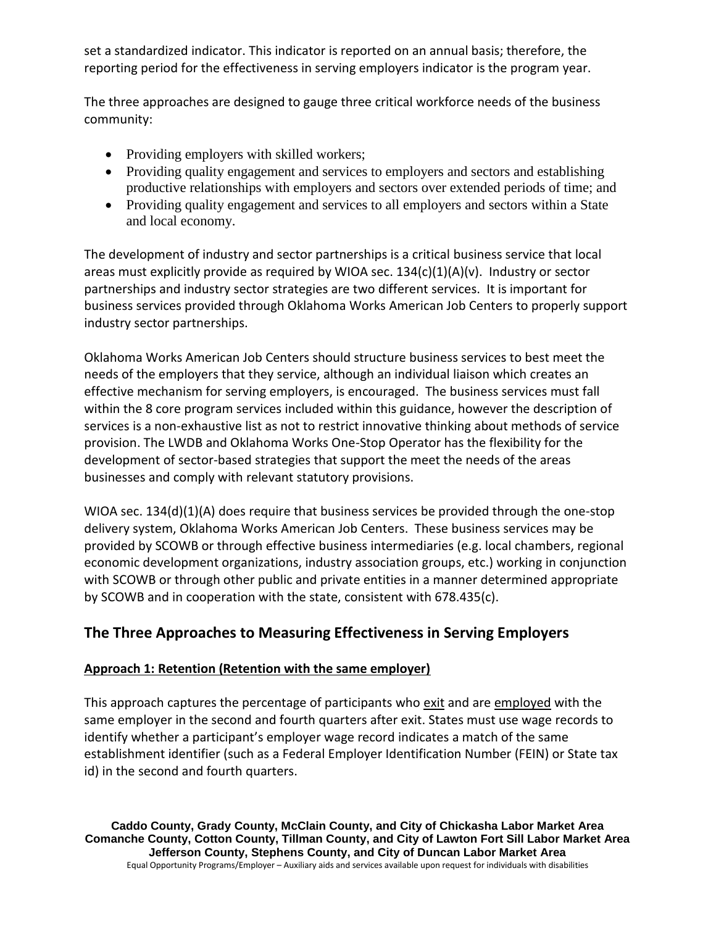set a standardized indicator. This indicator is reported on an annual basis; therefore, the reporting period for the effectiveness in serving employers indicator is the program year.

The three approaches are designed to gauge three critical workforce needs of the business community:

- Providing employers with skilled workers;
- Providing quality engagement and services to employers and sectors and establishing productive relationships with employers and sectors over extended periods of time; and
- Providing quality engagement and services to all employers and sectors within a State and local economy.

The development of industry and sector partnerships is a critical business service that local areas must explicitly provide as required by WIOA sec. 134(c)(1)(A)(v). Industry or sector partnerships and industry sector strategies are two different services. It is important for business services provided through Oklahoma Works American Job Centers to properly support industry sector partnerships.

Oklahoma Works American Job Centers should structure business services to best meet the needs of the employers that they service, although an individual liaison which creates an effective mechanism for serving employers, is encouraged. The business services must fall within the 8 core program services included within this guidance, however the description of services is a non-exhaustive list as not to restrict innovative thinking about methods of service provision. The LWDB and Oklahoma Works One-Stop Operator has the flexibility for the development of sector-based strategies that support the meet the needs of the areas businesses and comply with relevant statutory provisions.

WIOA sec. 134(d)(1)(A) does require that business services be provided through the one-stop delivery system, Oklahoma Works American Job Centers. These business services may be provided by SCOWB or through effective business intermediaries (e.g. local chambers, regional economic development organizations, industry association groups, etc.) working in conjunction with SCOWB or through other public and private entities in a manner determined appropriate by SCOWB and in cooperation with the state, consistent with 678.435(c).

# **The Three Approaches to Measuring Effectiveness in Serving Employers**

### **Approach 1: Retention (Retention with the same employer)**

This approach captures the percentage of participants who exit and are employed with the same employer in the second and fourth quarters after exit. States must use wage records to identify whether a participant's employer wage record indicates a match of the same establishment identifier (such as a Federal Employer Identification Number (FEIN) or State tax id) in the second and fourth quarters.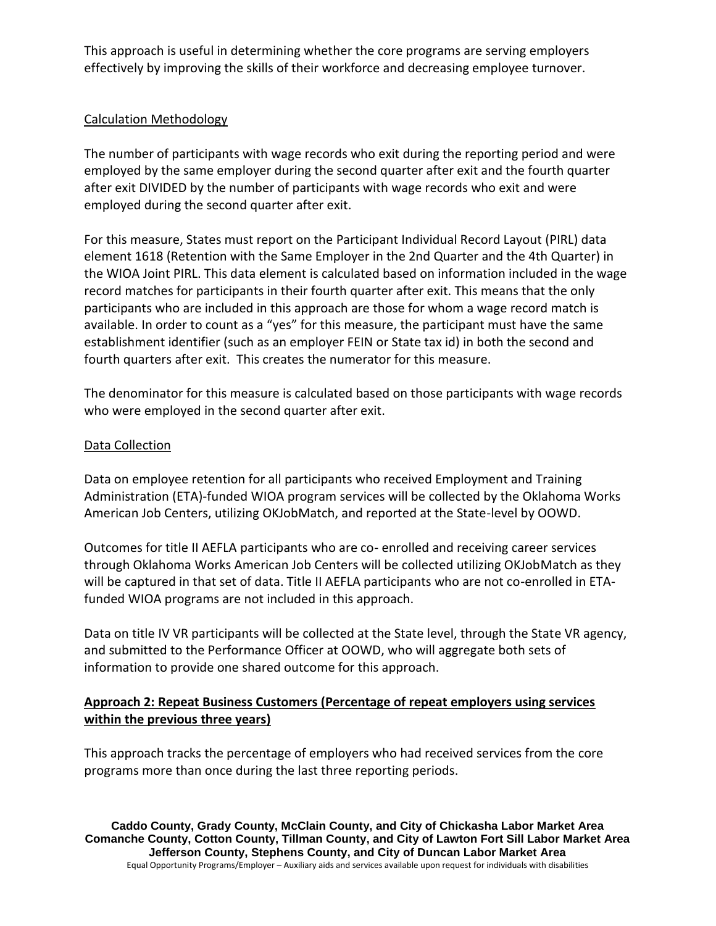This approach is useful in determining whether the core programs are serving employers effectively by improving the skills of their workforce and decreasing employee turnover.

## Calculation Methodology

The number of participants with wage records who exit during the reporting period and were employed by the same employer during the second quarter after exit and the fourth quarter after exit DIVIDED by the number of participants with wage records who exit and were employed during the second quarter after exit.

For this measure, States must report on the Participant Individual Record Layout (PIRL) data element 1618 (Retention with the Same Employer in the 2nd Quarter and the 4th Quarter) in the WIOA Joint PIRL. This data element is calculated based on information included in the wage record matches for participants in their fourth quarter after exit. This means that the only participants who are included in this approach are those for whom a wage record match is available. In order to count as a "yes" for this measure, the participant must have the same establishment identifier (such as an employer FEIN or State tax id) in both the second and fourth quarters after exit. This creates the numerator for this measure.

The denominator for this measure is calculated based on those participants with wage records who were employed in the second quarter after exit.

#### Data Collection

Data on employee retention for all participants who received Employment and Training Administration (ETA)-funded WIOA program services will be collected by the Oklahoma Works American Job Centers, utilizing OKJobMatch, and reported at the State-level by OOWD.

Outcomes for title II AEFLA participants who are co- enrolled and receiving career services through Oklahoma Works American Job Centers will be collected utilizing OKJobMatch as they will be captured in that set of data. Title II AEFLA participants who are not co-enrolled in ETAfunded WIOA programs are not included in this approach.

Data on title IV VR participants will be collected at the State level, through the State VR agency, and submitted to the Performance Officer at OOWD, who will aggregate both sets of information to provide one shared outcome for this approach.

### **Approach 2: Repeat Business Customers (Percentage of repeat employers using services within the previous three years)**

This approach tracks the percentage of employers who had received services from the core programs more than once during the last three reporting periods.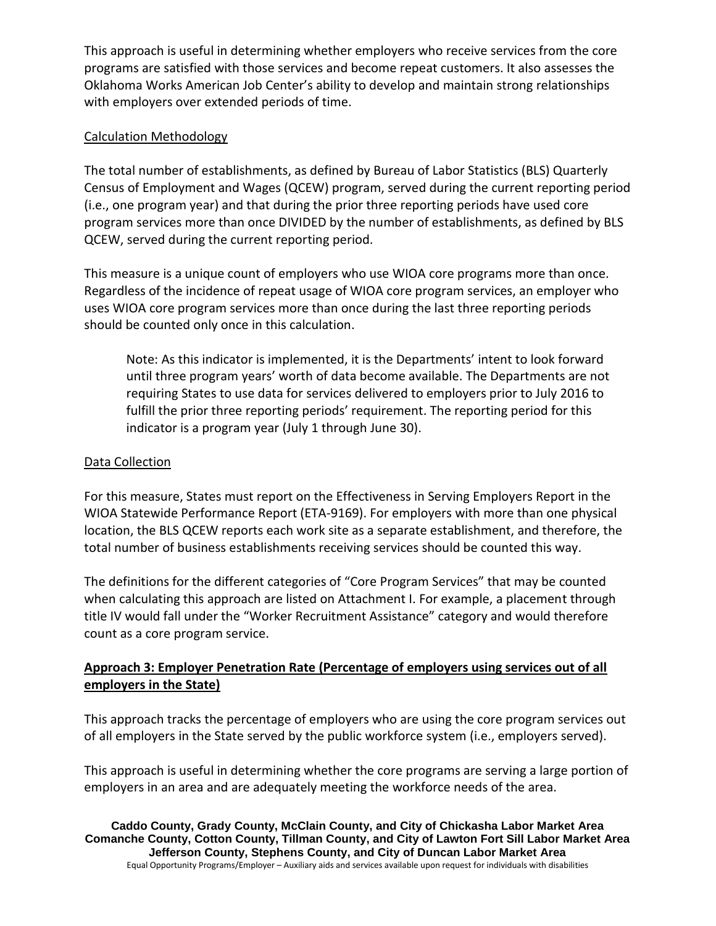This approach is useful in determining whether employers who receive services from the core programs are satisfied with those services and become repeat customers. It also assesses the Oklahoma Works American Job Center's ability to develop and maintain strong relationships with employers over extended periods of time.

#### Calculation Methodology

The total number of establishments, as defined by Bureau of Labor Statistics (BLS) Quarterly Census of Employment and Wages (QCEW) program, served during the current reporting period (i.e., one program year) and that during the prior three reporting periods have used core program services more than once DIVIDED by the number of establishments, as defined by BLS QCEW, served during the current reporting period.

This measure is a unique count of employers who use WIOA core programs more than once. Regardless of the incidence of repeat usage of WIOA core program services, an employer who uses WIOA core program services more than once during the last three reporting periods should be counted only once in this calculation.

Note: As this indicator is implemented, it is the Departments' intent to look forward until three program years' worth of data become available. The Departments are not requiring States to use data for services delivered to employers prior to July 2016 to fulfill the prior three reporting periods' requirement. The reporting period for this indicator is a program year (July 1 through June 30).

#### Data Collection

For this measure, States must report on the Effectiveness in Serving Employers Report in the WIOA Statewide Performance Report (ETA-9169). For employers with more than one physical location, the BLS QCEW reports each work site as a separate establishment, and therefore, the total number of business establishments receiving services should be counted this way.

The definitions for the different categories of "Core Program Services" that may be counted when calculating this approach are listed on Attachment I. For example, a placement through title IV would fall under the "Worker Recruitment Assistance" category and would therefore count as a core program service.

## **Approach 3: Employer Penetration Rate (Percentage of employers using services out of all employers in the State)**

This approach tracks the percentage of employers who are using the core program services out of all employers in the State served by the public workforce system (i.e., employers served).

This approach is useful in determining whether the core programs are serving a large portion of employers in an area and are adequately meeting the workforce needs of the area.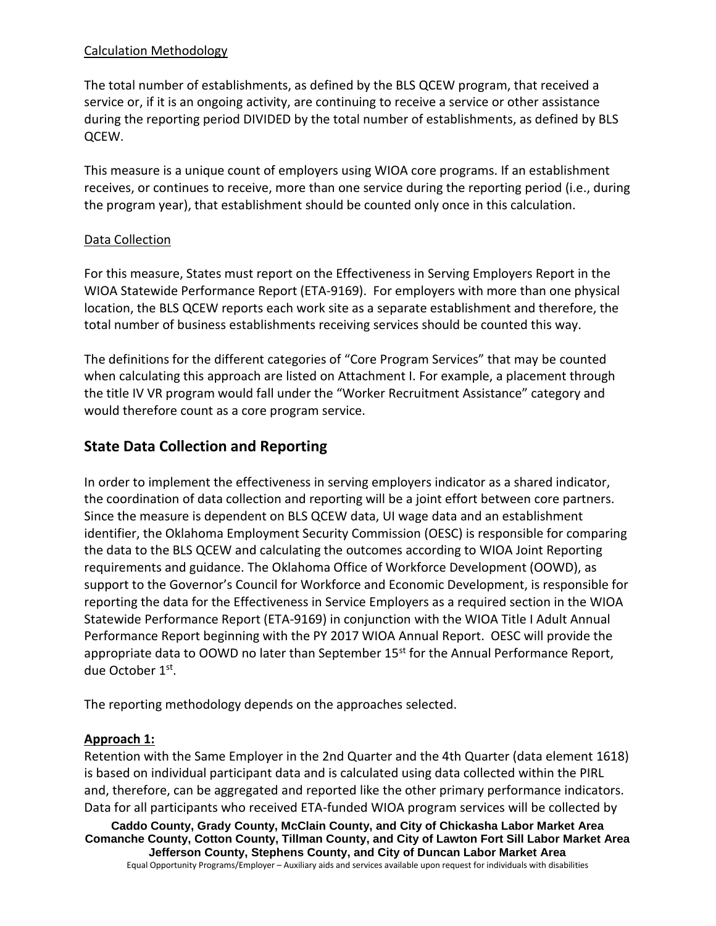### Calculation Methodology

The total number of establishments, as defined by the BLS QCEW program, that received a service or, if it is an ongoing activity, are continuing to receive a service or other assistance during the reporting period DIVIDED by the total number of establishments, as defined by BLS QCEW.

This measure is a unique count of employers using WIOA core programs. If an establishment receives, or continues to receive, more than one service during the reporting period (i.e., during the program year), that establishment should be counted only once in this calculation.

#### Data Collection

For this measure, States must report on the Effectiveness in Serving Employers Report in the WIOA Statewide Performance Report (ETA-9169). For employers with more than one physical location, the BLS QCEW reports each work site as a separate establishment and therefore, the total number of business establishments receiving services should be counted this way.

The definitions for the different categories of "Core Program Services" that may be counted when calculating this approach are listed on Attachment I. For example, a placement through the title IV VR program would fall under the "Worker Recruitment Assistance" category and would therefore count as a core program service.

## **State Data Collection and Reporting**

In order to implement the effectiveness in serving employers indicator as a shared indicator, the coordination of data collection and reporting will be a joint effort between core partners. Since the measure is dependent on BLS QCEW data, UI wage data and an establishment identifier, the Oklahoma Employment Security Commission (OESC) is responsible for comparing the data to the BLS QCEW and calculating the outcomes according to WIOA Joint Reporting requirements and guidance. The Oklahoma Office of Workforce Development (OOWD), as support to the Governor's Council for Workforce and Economic Development, is responsible for reporting the data for the Effectiveness in Service Employers as a required section in the WIOA Statewide Performance Report (ETA-9169) in conjunction with the WIOA Title I Adult Annual Performance Report beginning with the PY 2017 WIOA Annual Report. OESC will provide the appropriate data to OOWD no later than September 15<sup>st</sup> for the Annual Performance Report, due October 1st.

The reporting methodology depends on the approaches selected.

#### **Approach 1:**

Retention with the Same Employer in the 2nd Quarter and the 4th Quarter (data element 1618) is based on individual participant data and is calculated using data collected within the PIRL and, therefore, can be aggregated and reported like the other primary performance indicators. Data for all participants who received ETA-funded WIOA program services will be collected by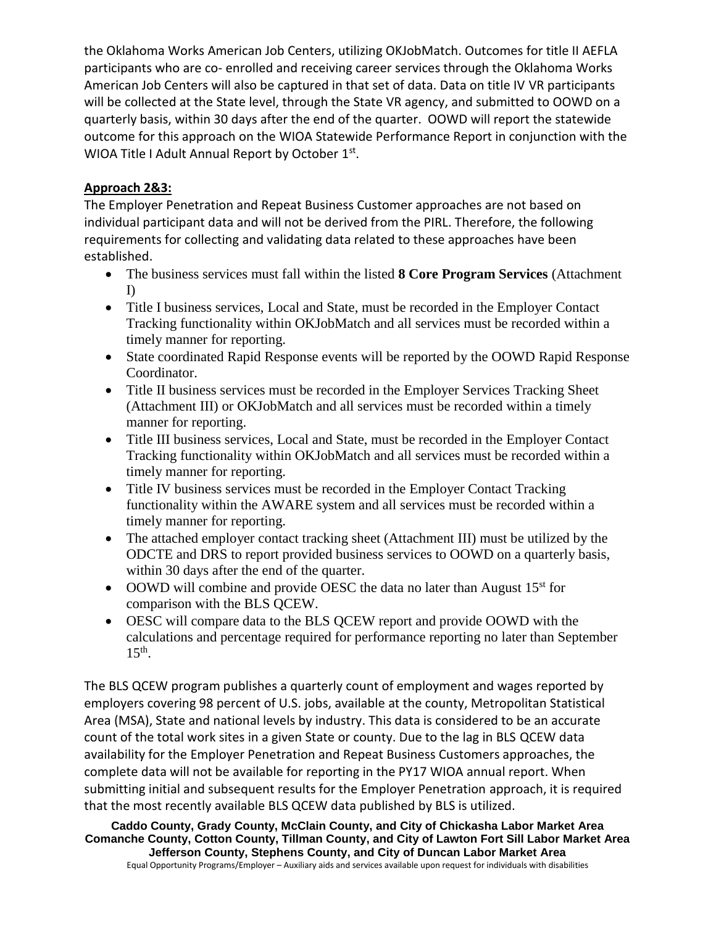the Oklahoma Works American Job Centers, utilizing OKJobMatch. Outcomes for title II AEFLA participants who are co- enrolled and receiving career services through the Oklahoma Works American Job Centers will also be captured in that set of data. Data on title IV VR participants will be collected at the State level, through the State VR agency, and submitted to OOWD on a quarterly basis, within 30 days after the end of the quarter. OOWD will report the statewide outcome for this approach on the WIOA Statewide Performance Report in conjunction with the WIOA Title I Adult Annual Report by October 1st.

## **Approach 2&3:**

The Employer Penetration and Repeat Business Customer approaches are not based on individual participant data and will not be derived from the PIRL. Therefore, the following requirements for collecting and validating data related to these approaches have been established.

- The business services must fall within the listed **8 Core Program Services** (Attachment I)
- Title I business services, Local and State, must be recorded in the Employer Contact Tracking functionality within OKJobMatch and all services must be recorded within a timely manner for reporting.
- State coordinated Rapid Response events will be reported by the OOWD Rapid Response Coordinator.
- Title II business services must be recorded in the Employer Services Tracking Sheet (Attachment III) or OKJobMatch and all services must be recorded within a timely manner for reporting.
- Title III business services, Local and State, must be recorded in the Employer Contact Tracking functionality within OKJobMatch and all services must be recorded within a timely manner for reporting.
- Title IV business services must be recorded in the Employer Contact Tracking functionality within the AWARE system and all services must be recorded within a timely manner for reporting.
- The attached employer contact tracking sheet (Attachment III) must be utilized by the ODCTE and DRS to report provided business services to OOWD on a quarterly basis, within 30 days after the end of the quarter.
- OOWD will combine and provide OESC the data no later than August  $15<sup>st</sup>$  for comparison with the BLS QCEW.
- OESC will compare data to the BLS QCEW report and provide OOWD with the calculations and percentage required for performance reporting no later than September  $15<sup>th</sup>$ .

The BLS QCEW program publishes a quarterly count of employment and wages reported by employers covering 98 percent of U.S. jobs, available at the county, Metropolitan Statistical Area (MSA), State and national levels by industry. This data is considered to be an accurate count of the total work sites in a given State or county. Due to the lag in BLS QCEW data availability for the Employer Penetration and Repeat Business Customers approaches, the complete data will not be available for reporting in the PY17 WIOA annual report. When submitting initial and subsequent results for the Employer Penetration approach, it is required that the most recently available BLS QCEW data published by BLS is utilized.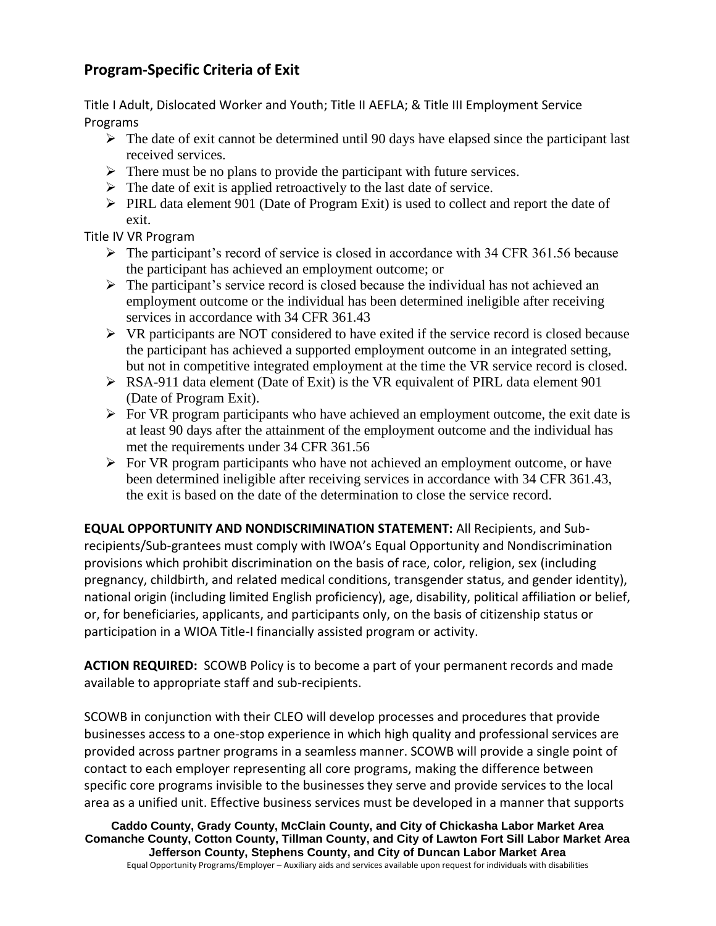## **Program-Specific Criteria of Exit**

Title I Adult, Dislocated Worker and Youth; Title II AEFLA; & Title III Employment Service Programs

- $\triangleright$  The date of exit cannot be determined until 90 days have elapsed since the participant last received services.
- $\triangleright$  There must be no plans to provide the participant with future services.
- $\triangleright$  The date of exit is applied retroactively to the last date of service.
- $\triangleright$  PIRL data element 901 (Date of Program Exit) is used to collect and report the date of exit.

Title IV VR Program

- $\triangleright$  The participant's record of service is closed in accordance with 34 CFR 361.56 because the participant has achieved an employment outcome; or
- ➢ The participant's service record is closed because the individual has not achieved an employment outcome or the individual has been determined ineligible after receiving services in accordance with 34 CFR 361.43
- $\triangleright$  VR participants are NOT considered to have exited if the service record is closed because the participant has achieved a supported employment outcome in an integrated setting, but not in competitive integrated employment at the time the VR service record is closed.
- $\triangleright$  RSA-911 data element (Date of Exit) is the VR equivalent of PIRL data element 901 (Date of Program Exit).
- $\triangleright$  For VR program participants who have achieved an employment outcome, the exit date is at least 90 days after the attainment of the employment outcome and the individual has met the requirements under 34 CFR 361.56
- ➢ For VR program participants who have not achieved an employment outcome, or have been determined ineligible after receiving services in accordance with 34 CFR 361.43, the exit is based on the date of the determination to close the service record.

**EQUAL OPPORTUNITY AND NONDISCRIMINATION STATEMENT:** All Recipients, and Subrecipients/Sub-grantees must comply with IWOA's Equal Opportunity and Nondiscrimination provisions which prohibit discrimination on the basis of race, color, religion, sex (including pregnancy, childbirth, and related medical conditions, transgender status, and gender identity), national origin (including limited English proficiency), age, disability, political affiliation or belief, or, for beneficiaries, applicants, and participants only, on the basis of citizenship status or participation in a WIOA Title-I financially assisted program or activity.

**ACTION REQUIRED:** SCOWB Policy is to become a part of your permanent records and made available to appropriate staff and sub-recipients.

SCOWB in conjunction with their CLEO will develop processes and procedures that provide businesses access to a one-stop experience in which high quality and professional services are provided across partner programs in a seamless manner. SCOWB will provide a single point of contact to each employer representing all core programs, making the difference between specific core programs invisible to the businesses they serve and provide services to the local area as a unified unit. Effective business services must be developed in a manner that supports